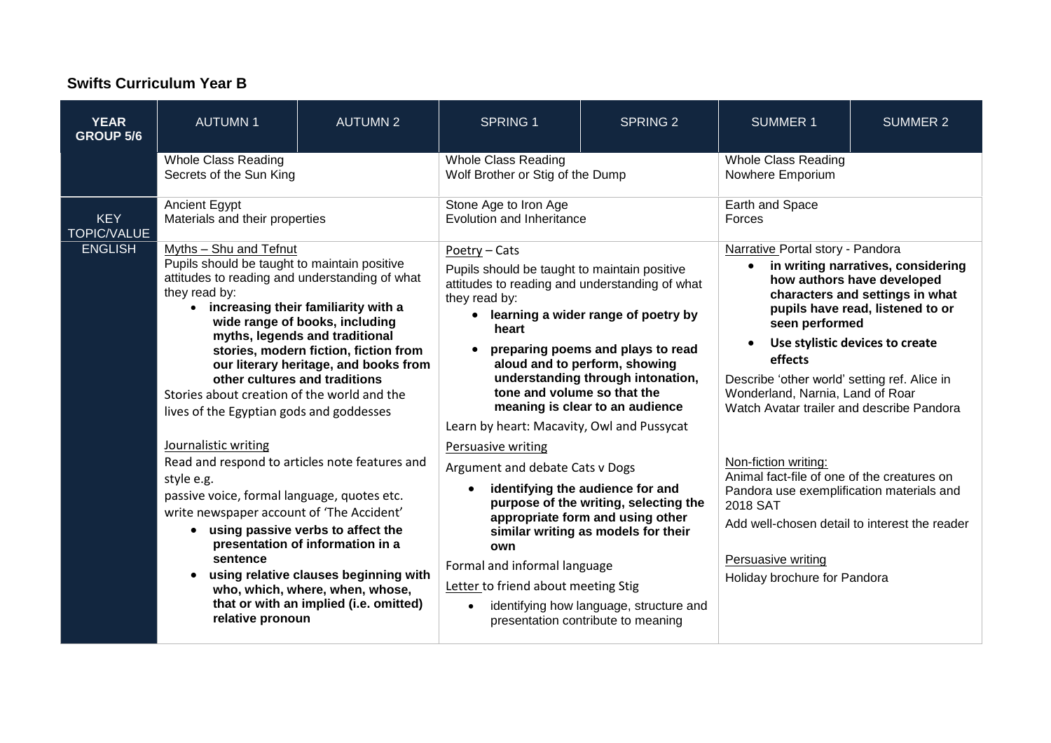## **Swifts Curriculum Year B**

| <b>YEAR</b><br><b>GROUP 5/6</b>  | <b>AUTUMN1</b>                                                                                                                                                                                                                                                                                                                                                                                                                                                                                                                                                                                                                                                                                                                                                                                                                                                                                         | <b>AUTUMN 2</b> | <b>SPRING 1</b>                                                                                                                                                                                                                                                                                                                                                                                                                                                                                                                                                                                                                                                                                                                                                                                            | <b>SPRING 2</b> | <b>SUMMER 1</b>                                                                                                                                                                                                                                                                                                                                                                           | <b>SUMMER 2</b> |
|----------------------------------|--------------------------------------------------------------------------------------------------------------------------------------------------------------------------------------------------------------------------------------------------------------------------------------------------------------------------------------------------------------------------------------------------------------------------------------------------------------------------------------------------------------------------------------------------------------------------------------------------------------------------------------------------------------------------------------------------------------------------------------------------------------------------------------------------------------------------------------------------------------------------------------------------------|-----------------|------------------------------------------------------------------------------------------------------------------------------------------------------------------------------------------------------------------------------------------------------------------------------------------------------------------------------------------------------------------------------------------------------------------------------------------------------------------------------------------------------------------------------------------------------------------------------------------------------------------------------------------------------------------------------------------------------------------------------------------------------------------------------------------------------------|-----------------|-------------------------------------------------------------------------------------------------------------------------------------------------------------------------------------------------------------------------------------------------------------------------------------------------------------------------------------------------------------------------------------------|-----------------|
|                                  | <b>Whole Class Reading</b><br>Secrets of the Sun King                                                                                                                                                                                                                                                                                                                                                                                                                                                                                                                                                                                                                                                                                                                                                                                                                                                  |                 | <b>Whole Class Reading</b><br>Wolf Brother or Stig of the Dump                                                                                                                                                                                                                                                                                                                                                                                                                                                                                                                                                                                                                                                                                                                                             |                 | Whole Class Reading<br>Nowhere Emporium                                                                                                                                                                                                                                                                                                                                                   |                 |
| <b>KEY</b><br><b>TOPIC/VALUE</b> | <b>Ancient Egypt</b><br>Materials and their properties                                                                                                                                                                                                                                                                                                                                                                                                                                                                                                                                                                                                                                                                                                                                                                                                                                                 |                 | Stone Age to Iron Age<br>Evolution and Inheritance                                                                                                                                                                                                                                                                                                                                                                                                                                                                                                                                                                                                                                                                                                                                                         |                 | Earth and Space<br>Forces                                                                                                                                                                                                                                                                                                                                                                 |                 |
| <b>ENGLISH</b>                   | Myths - Shu and Tefnut<br>Pupils should be taught to maintain positive<br>attitudes to reading and understanding of what<br>they read by:<br>• increasing their familiarity with a<br>wide range of books, including<br>myths, legends and traditional<br>stories, modern fiction, fiction from<br>our literary heritage, and books from<br>other cultures and traditions<br>Stories about creation of the world and the<br>lives of the Egyptian gods and goddesses<br>Journalistic writing<br>Read and respond to articles note features and<br>style e.g.<br>passive voice, formal language, quotes etc.<br>write newspaper account of 'The Accident'<br>• using passive verbs to affect the<br>presentation of information in a<br>sentence<br>using relative clauses beginning with<br>$\bullet$<br>who, which, where, when, whose,<br>that or with an implied (i.e. omitted)<br>relative pronoun |                 | Poetry - Cats<br>Pupils should be taught to maintain positive<br>attitudes to reading and understanding of what<br>they read by:<br>• learning a wider range of poetry by<br>heart<br>preparing poems and plays to read<br>aloud and to perform, showing<br>understanding through intonation,<br>tone and volume so that the<br>meaning is clear to an audience<br>Learn by heart: Macavity, Owl and Pussycat<br>Persuasive writing<br>Argument and debate Cats v Dogs<br>identifying the audience for and<br>purpose of the writing, selecting the<br>appropriate form and using other<br>similar writing as models for their<br>own<br>Formal and informal language<br>Letter to friend about meeting Stig<br>identifying how language, structure and<br>$\bullet$<br>presentation contribute to meaning |                 | Narrative Portal story - Pandora<br>in writing narratives, considering<br>$\bullet$<br>how authors have developed<br>characters and settings in what<br>pupils have read, listened to or<br>seen performed<br>Use stylistic devices to create<br>effects<br>Describe 'other world' setting ref. Alice in<br>Wonderland, Narnia, Land of Roar<br>Watch Avatar trailer and describe Pandora |                 |
|                                  |                                                                                                                                                                                                                                                                                                                                                                                                                                                                                                                                                                                                                                                                                                                                                                                                                                                                                                        |                 |                                                                                                                                                                                                                                                                                                                                                                                                                                                                                                                                                                                                                                                                                                                                                                                                            |                 | Non-fiction writing:<br>Animal fact-file of one of the creatures on<br>Pandora use exemplification materials and<br>2018 SAT<br>Add well-chosen detail to interest the reader<br>Persuasive writing<br>Holiday brochure for Pandora                                                                                                                                                       |                 |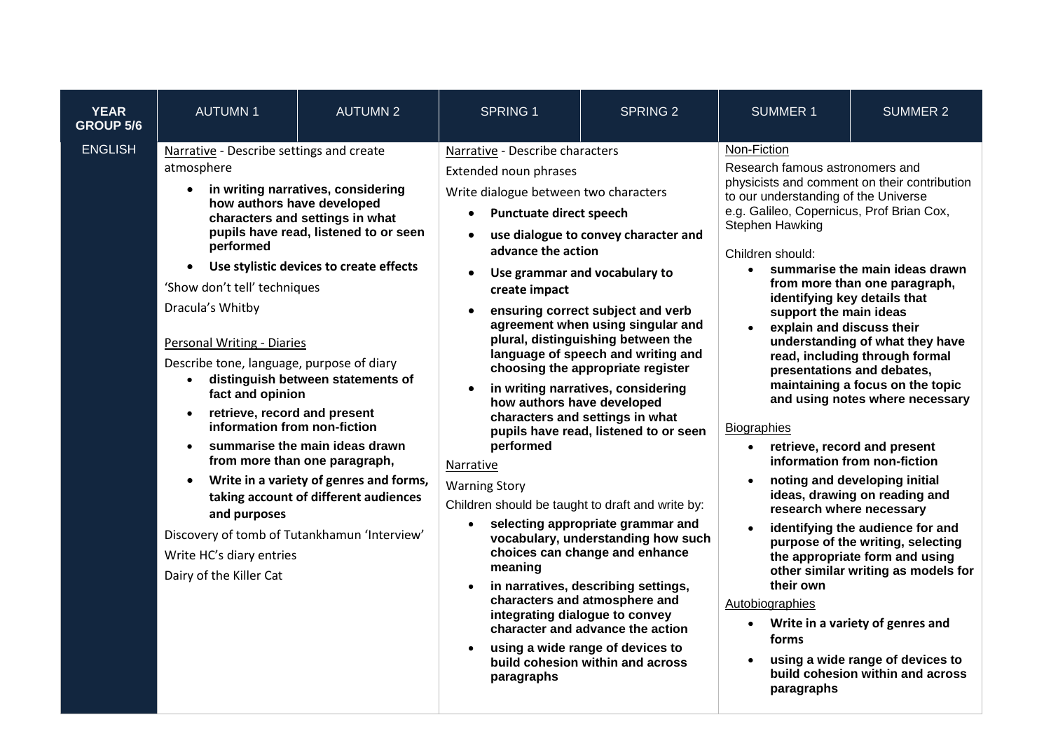| <b>YEAR</b><br><b>GROUP 5/6</b> | <b>AUTUMN1</b>                                                                                                                                                                                                                                                                                                                                                                                                                                     | <b>AUTUMN 2</b>                                                                                                                                                                                                                                                                                                                                       | <b>SPRING 1</b>                                                                                                                                                                                                                                                                                                                                                                                          | <b>SPRING 2</b>                                                                                                                                                                                                                                                                                                                                                                                                                                                                                                                                                                                                                                                                                                       | <b>SUMMER 1</b>                                                                                                                                                                                                                                                                                                                                                                                                                                                                                          | <b>SUMMER 2</b>                                                                                                                                                                                                                                                                                                                                                                                                                                                                                                                                                                                                                           |
|---------------------------------|----------------------------------------------------------------------------------------------------------------------------------------------------------------------------------------------------------------------------------------------------------------------------------------------------------------------------------------------------------------------------------------------------------------------------------------------------|-------------------------------------------------------------------------------------------------------------------------------------------------------------------------------------------------------------------------------------------------------------------------------------------------------------------------------------------------------|----------------------------------------------------------------------------------------------------------------------------------------------------------------------------------------------------------------------------------------------------------------------------------------------------------------------------------------------------------------------------------------------------------|-----------------------------------------------------------------------------------------------------------------------------------------------------------------------------------------------------------------------------------------------------------------------------------------------------------------------------------------------------------------------------------------------------------------------------------------------------------------------------------------------------------------------------------------------------------------------------------------------------------------------------------------------------------------------------------------------------------------------|----------------------------------------------------------------------------------------------------------------------------------------------------------------------------------------------------------------------------------------------------------------------------------------------------------------------------------------------------------------------------------------------------------------------------------------------------------------------------------------------------------|-------------------------------------------------------------------------------------------------------------------------------------------------------------------------------------------------------------------------------------------------------------------------------------------------------------------------------------------------------------------------------------------------------------------------------------------------------------------------------------------------------------------------------------------------------------------------------------------------------------------------------------------|
| <b>ENGLISH</b>                  | Narrative - Describe settings and create<br>atmosphere<br>how authors have developed<br>performed<br>'Show don't tell' techniques<br>Dracula's Whitby<br><b>Personal Writing - Diaries</b><br>Describe tone, language, purpose of diary<br>fact and opinion<br>retrieve, record and present<br>information from non-fiction<br>and purposes<br>Discovery of tomb of Tutankhamun 'Interview'<br>Write HC's diary entries<br>Dairy of the Killer Cat | in writing narratives, considering<br>characters and settings in what<br>pupils have read, listened to or seen<br>Use stylistic devices to create effects<br>distinguish between statements of<br>summarise the main ideas drawn<br>from more than one paragraph,<br>Write in a variety of genres and forms,<br>taking account of different audiences | Narrative - Describe characters<br>Extended noun phrases<br>Write dialogue between two characters<br><b>Punctuate direct speech</b><br>$\bullet$<br>advance the action<br>$\bullet$<br>create impact<br>$\bullet$<br>how authors have developed<br>performed<br>Narrative<br><b>Warning Story</b><br>Children should be taught to draft and write by:<br>$\bullet$<br>meaning<br>$\bullet$<br>paragraphs | use dialogue to convey character and<br>Use grammar and vocabulary to<br>ensuring correct subject and verb<br>agreement when using singular and<br>plural, distinguishing between the<br>language of speech and writing and<br>choosing the appropriate register<br>in writing narratives, considering<br>characters and settings in what<br>pupils have read, listened to or seen<br>selecting appropriate grammar and<br>vocabulary, understanding how such<br>choices can change and enhance<br>in narratives, describing settings,<br>characters and atmosphere and<br>integrating dialogue to convey<br>character and advance the action<br>using a wide range of devices to<br>build cohesion within and across | Non-Fiction<br>Research famous astronomers and<br>physicists and comment on their contribution<br>to our understanding of the Universe<br>e.g. Galileo, Copernicus, Prof Brian Cox,<br>Stephen Hawking<br>Children should:<br>$\bullet$<br>identifying key details that<br>support the main ideas<br>explain and discuss their<br>$\bullet$<br><b>Biographies</b><br>$\bullet$<br>$\bullet$<br>research where necessary<br>their own<br>Autobiographies<br>$\bullet$<br>forms<br>$\bullet$<br>paragraphs | summarise the main ideas drawn<br>from more than one paragraph,<br>understanding of what they have<br>read, including through formal<br>presentations and debates,<br>maintaining a focus on the topic<br>and using notes where necessary<br>retrieve, record and present<br>information from non-fiction<br>noting and developing initial<br>ideas, drawing on reading and<br>identifying the audience for and<br>purpose of the writing, selecting<br>the appropriate form and using<br>other similar writing as models for<br>Write in a variety of genres and<br>using a wide range of devices to<br>build cohesion within and across |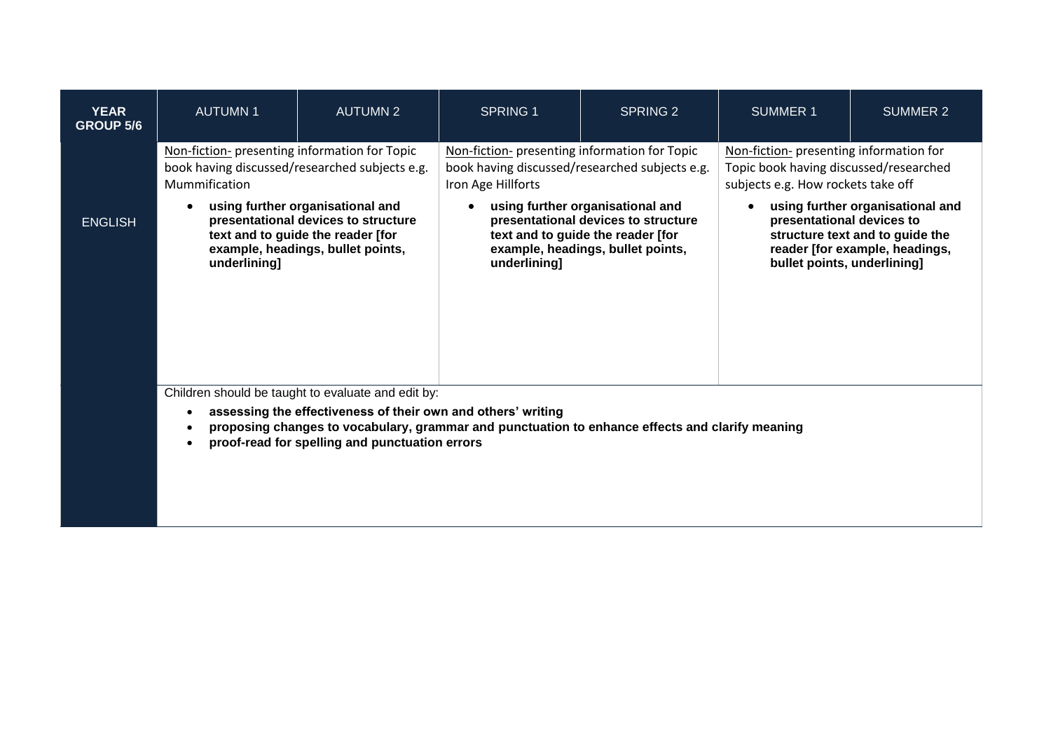| <b>YEAR</b><br><b>GROUP 5/6</b> | <b>AUTUMN1</b>                                                                                                                                                                                                        | <b>AUTUMN 2</b>                                | <b>SPRING 1</b>                                                                                                                                                   | <b>SPRING 2</b> | <b>SUMMER 1</b>                                                                                                                                                   | SUMMER 2 |  |  |
|---------------------------------|-----------------------------------------------------------------------------------------------------------------------------------------------------------------------------------------------------------------------|------------------------------------------------|-------------------------------------------------------------------------------------------------------------------------------------------------------------------|-----------------|-------------------------------------------------------------------------------------------------------------------------------------------------------------------|----------|--|--|
|                                 | Non-fiction- presenting information for Topic<br>book having discussed/researched subjects e.g.<br>Mummification                                                                                                      |                                                | Non-fiction- presenting information for Topic<br>book having discussed/researched subjects e.g.<br>Iron Age Hillforts                                             |                 | Non-fiction- presenting information for<br>Topic book having discussed/researched<br>subjects e.g. How rockets take off                                           |          |  |  |
| <b>ENGLISH</b>                  | using further organisational and<br>presentational devices to structure<br>text and to guide the reader [for<br>example, headings, bullet points,<br>underlining]                                                     |                                                | using further organisational and<br>presentational devices to structure<br>text and to guide the reader [for<br>example, headings, bullet points,<br>underlining] |                 | using further organisational and<br>presentational devices to<br>structure text and to guide the<br>reader [for example, headings,<br>bullet points, underlining] |          |  |  |
|                                 | Children should be taught to evaluate and edit by:<br>assessing the effectiveness of their own and others' writing<br>proposing changes to vocabulary, grammar and punctuation to enhance effects and clarify meaning |                                                |                                                                                                                                                                   |                 |                                                                                                                                                                   |          |  |  |
|                                 |                                                                                                                                                                                                                       | proof-read for spelling and punctuation errors |                                                                                                                                                                   |                 |                                                                                                                                                                   |          |  |  |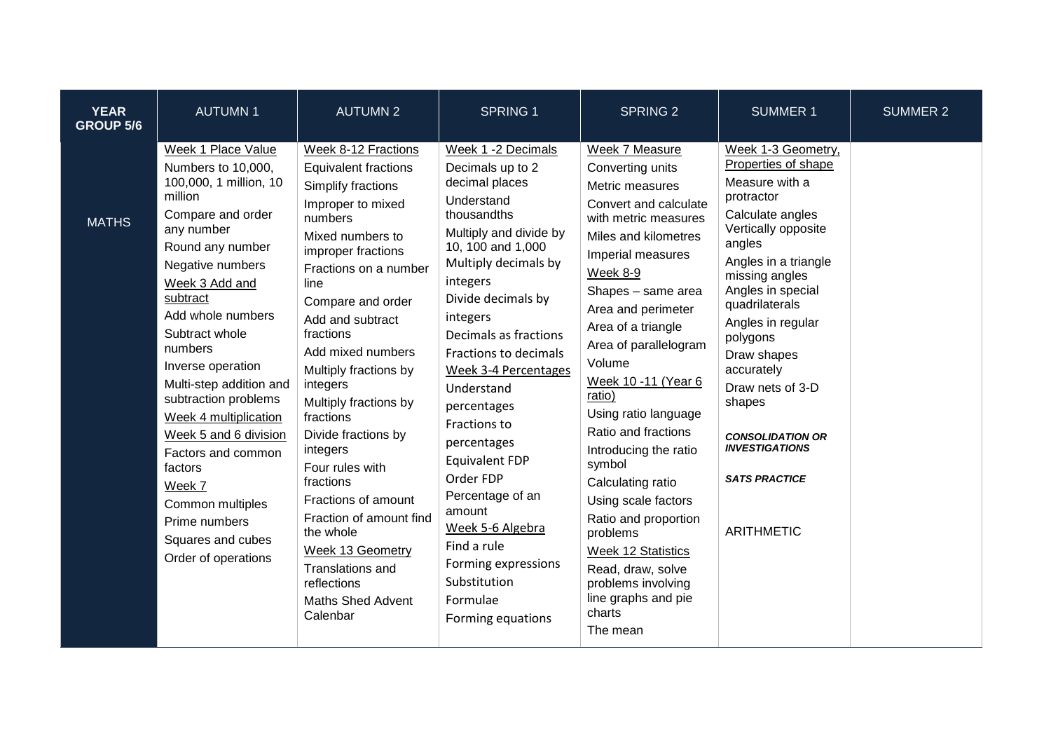| <b>YEAR</b><br><b>GROUP 5/6</b> | <b>AUTUMN1</b>                                                                                                                                                                                                                                                                                                                                                                                                                                                                                 | <b>AUTUMN 2</b>                                                                                                                                                                                                                                                                                                                                                                                                                                                                                                                                                                   | <b>SPRING 1</b>                                                                                                                                                                                                                                                                                                                                                                                                                                                                                                                 | <b>SPRING 2</b>                                                                                                                                                                                                                                                                                                                                                                                                                                                                                                                                                                       | <b>SUMMER 1</b>                                                                                                                                                                                                                                                                                                                                                                                              | <b>SUMMER 2</b> |
|---------------------------------|------------------------------------------------------------------------------------------------------------------------------------------------------------------------------------------------------------------------------------------------------------------------------------------------------------------------------------------------------------------------------------------------------------------------------------------------------------------------------------------------|-----------------------------------------------------------------------------------------------------------------------------------------------------------------------------------------------------------------------------------------------------------------------------------------------------------------------------------------------------------------------------------------------------------------------------------------------------------------------------------------------------------------------------------------------------------------------------------|---------------------------------------------------------------------------------------------------------------------------------------------------------------------------------------------------------------------------------------------------------------------------------------------------------------------------------------------------------------------------------------------------------------------------------------------------------------------------------------------------------------------------------|---------------------------------------------------------------------------------------------------------------------------------------------------------------------------------------------------------------------------------------------------------------------------------------------------------------------------------------------------------------------------------------------------------------------------------------------------------------------------------------------------------------------------------------------------------------------------------------|--------------------------------------------------------------------------------------------------------------------------------------------------------------------------------------------------------------------------------------------------------------------------------------------------------------------------------------------------------------------------------------------------------------|-----------------|
| <b>MATHS</b>                    | Week 1 Place Value<br>Numbers to 10,000,<br>100,000, 1 million, 10<br>million<br>Compare and order<br>any number<br>Round any number<br>Negative numbers<br>Week 3 Add and<br>subtract<br>Add whole numbers<br>Subtract whole<br>numbers<br>Inverse operation<br>Multi-step addition and<br>subtraction problems<br>Week 4 multiplication<br>Week 5 and 6 division<br>Factors and common<br>factors<br>Week 7<br>Common multiples<br>Prime numbers<br>Squares and cubes<br>Order of operations | Week 8-12 Fractions<br><b>Equivalent fractions</b><br>Simplify fractions<br>Improper to mixed<br>numbers<br>Mixed numbers to<br>improper fractions<br>Fractions on a number<br>line<br>Compare and order<br>Add and subtract<br>fractions<br>Add mixed numbers<br>Multiply fractions by<br>integers<br>Multiply fractions by<br>fractions<br>Divide fractions by<br>integers<br>Four rules with<br>fractions<br>Fractions of amount<br>Fraction of amount find<br>the whole<br><b>Week 13 Geometry</b><br>Translations and<br>reflections<br><b>Maths Shed Advent</b><br>Calenbar | Week 1 -2 Decimals<br>Decimals up to 2<br>decimal places<br>Understand<br>thousandths<br>Multiply and divide by<br>10, 100 and 1,000<br>Multiply decimals by<br>integers<br>Divide decimals by<br>integers<br>Decimals as fractions<br>Fractions to decimals<br>Week 3-4 Percentages<br>Understand<br>percentages<br>Fractions to<br>percentages<br><b>Equivalent FDP</b><br>Order FDP<br>Percentage of an<br>amount<br>Week 5-6 Algebra<br>Find a rule<br>Forming expressions<br>Substitution<br>Formulae<br>Forming equations | Week 7 Measure<br>Converting units<br>Metric measures<br>Convert and calculate<br>with metric measures<br>Miles and kilometres<br>Imperial measures<br>Week 8-9<br>Shapes - same area<br>Area and perimeter<br>Area of a triangle<br>Area of parallelogram<br>Volume<br>Week 10 -11 (Year 6<br>ratio)<br>Using ratio language<br>Ratio and fractions<br>Introducing the ratio<br>symbol<br>Calculating ratio<br>Using scale factors<br>Ratio and proportion<br>problems<br>Week 12 Statistics<br>Read, draw, solve<br>problems involving<br>line graphs and pie<br>charts<br>The mean | Week 1-3 Geometry,<br>Properties of shape<br>Measure with a<br>protractor<br>Calculate angles<br>Vertically opposite<br>angles<br>Angles in a triangle<br>missing angles<br>Angles in special<br>quadrilaterals<br>Angles in regular<br>polygons<br>Draw shapes<br>accurately<br>Draw nets of 3-D<br>shapes<br><b>CONSOLIDATION OR</b><br><b>INVESTIGATIONS</b><br><b>SATS PRACTICE</b><br><b>ARITHMETIC</b> |                 |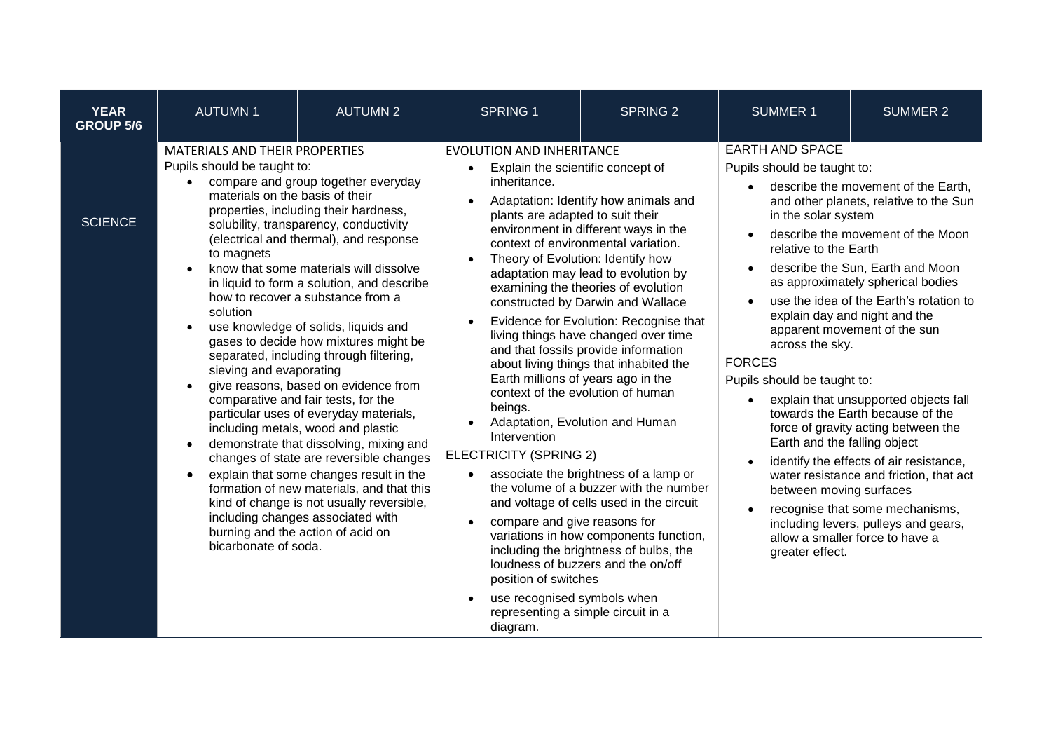| <b>YEAR</b><br><b>GROUP 5/6</b> | <b>AUTUMN1</b>                                                                                                                                                                       | <b>AUTUMN 2</b>                                                                                                                                                                                                                                                                                                                                                                                                                                                                                                                                                                                                                                                                                                                                                                                                                                                                               | <b>SPRING 1</b>                                                                                                                                                                                                                                                                                                                             | <b>SPRING 2</b>                                                                                                                                                                                                                                                                                                                                                                                                                                                                                                                                                                                                                                                                                                                                                                                                        | <b>SUMMER 1</b>                                                                                                                                                                                                                                                     | <b>SUMMER 2</b>                                                                                                                                                                                                                                                                                                                                                                                                                                                                                                                                                                                                                 |
|---------------------------------|--------------------------------------------------------------------------------------------------------------------------------------------------------------------------------------|-----------------------------------------------------------------------------------------------------------------------------------------------------------------------------------------------------------------------------------------------------------------------------------------------------------------------------------------------------------------------------------------------------------------------------------------------------------------------------------------------------------------------------------------------------------------------------------------------------------------------------------------------------------------------------------------------------------------------------------------------------------------------------------------------------------------------------------------------------------------------------------------------|---------------------------------------------------------------------------------------------------------------------------------------------------------------------------------------------------------------------------------------------------------------------------------------------------------------------------------------------|------------------------------------------------------------------------------------------------------------------------------------------------------------------------------------------------------------------------------------------------------------------------------------------------------------------------------------------------------------------------------------------------------------------------------------------------------------------------------------------------------------------------------------------------------------------------------------------------------------------------------------------------------------------------------------------------------------------------------------------------------------------------------------------------------------------------|---------------------------------------------------------------------------------------------------------------------------------------------------------------------------------------------------------------------------------------------------------------------|---------------------------------------------------------------------------------------------------------------------------------------------------------------------------------------------------------------------------------------------------------------------------------------------------------------------------------------------------------------------------------------------------------------------------------------------------------------------------------------------------------------------------------------------------------------------------------------------------------------------------------|
| <b>SCIENCE</b>                  | <b>MATERIALS AND THEIR PROPERTIES</b><br>Pupils should be taught to:<br>materials on the basis of their<br>to magnets<br>solution<br>sieving and evaporating<br>bicarbonate of soda. | compare and group together everyday<br>properties, including their hardness,<br>solubility, transparency, conductivity<br>(electrical and thermal), and response<br>know that some materials will dissolve<br>in liquid to form a solution, and describe<br>how to recover a substance from a<br>use knowledge of solids, liquids and<br>gases to decide how mixtures might be<br>separated, including through filtering,<br>give reasons, based on evidence from<br>comparative and fair tests, for the<br>particular uses of everyday materials,<br>including metals, wood and plastic<br>demonstrate that dissolving, mixing and<br>changes of state are reversible changes<br>explain that some changes result in the<br>formation of new materials, and that this<br>kind of change is not usually reversible,<br>including changes associated with<br>burning and the action of acid on | <b>EVOLUTION AND INHERITANCE</b><br>Explain the scientific concept of<br>$\bullet$<br>inheritance.<br>plants are adapted to suit their<br>beings.<br>Intervention<br><b>ELECTRICITY (SPRING 2)</b><br>compare and give reasons for<br>position of switches<br>use recognised symbols when<br>representing a simple circuit in a<br>diagram. | Adaptation: Identify how animals and<br>environment in different ways in the<br>context of environmental variation.<br>Theory of Evolution: Identify how<br>adaptation may lead to evolution by<br>examining the theories of evolution<br>constructed by Darwin and Wallace<br>Evidence for Evolution: Recognise that<br>living things have changed over time<br>and that fossils provide information<br>about living things that inhabited the<br>Earth millions of years ago in the<br>context of the evolution of human<br>Adaptation, Evolution and Human<br>associate the brightness of a lamp or<br>the volume of a buzzer with the number<br>and voltage of cells used in the circuit<br>variations in how components function,<br>including the brightness of bulbs, the<br>loudness of buzzers and the on/off | <b>EARTH AND SPACE</b><br>Pupils should be taught to:<br>in the solar system<br>relative to the Earth<br>$\bullet$<br>across the sky.<br><b>FORCES</b><br>Pupils should be taught to:<br>Earth and the falling object<br>between moving surfaces<br>greater effect. | describe the movement of the Earth,<br>and other planets, relative to the Sun<br>describe the movement of the Moon<br>describe the Sun, Earth and Moon<br>as approximately spherical bodies<br>use the idea of the Earth's rotation to<br>explain day and night and the<br>apparent movement of the sun<br>explain that unsupported objects fall<br>towards the Earth because of the<br>force of gravity acting between the<br>identify the effects of air resistance,<br>water resistance and friction, that act<br>recognise that some mechanisms,<br>including levers, pulleys and gears,<br>allow a smaller force to have a |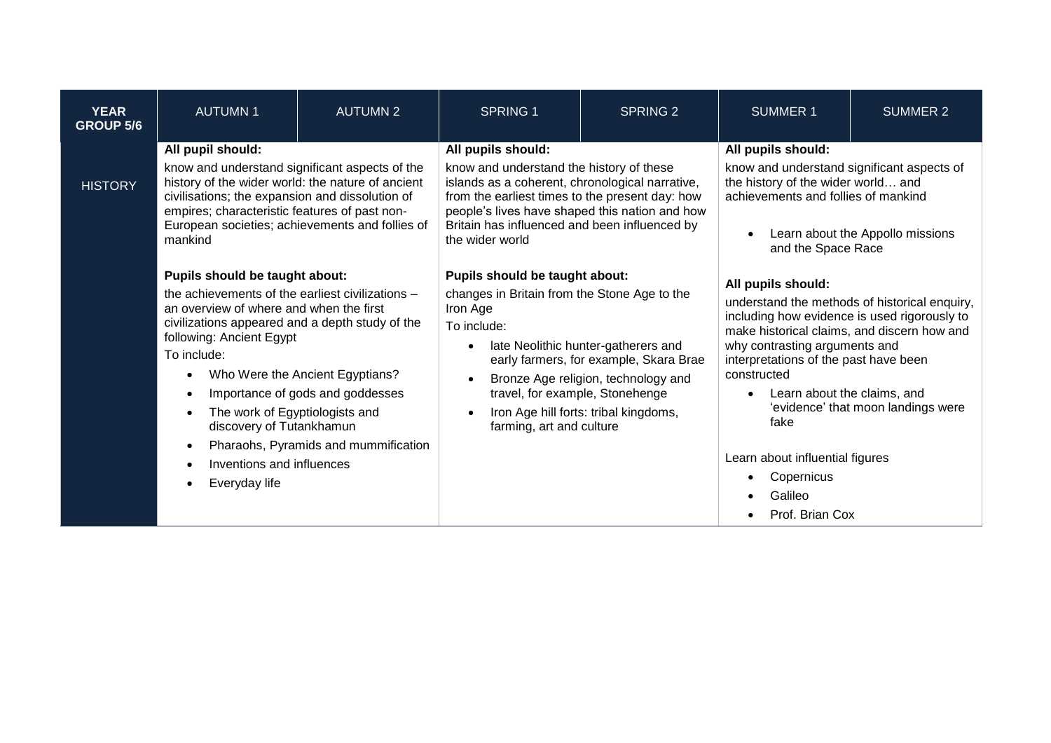| <b>YEAR</b><br><b>GROUP 5/6</b> | <b>AUTUMN1</b>                                                                                                                                                                                                                                                                                                                                                                                                                                                                                                                                                                                                                                                                                                                                       | <b>AUTUMN 2</b> | <b>SPRING 1</b>                                                                                                                                                                                                                                                                            | <b>SPRING 2</b>                                                                                                                                               | <b>SUMMER 1</b>                                                                                                                                                                                                                                                                                                                                                                                      | <b>SUMMER 2</b> |
|---------------------------------|------------------------------------------------------------------------------------------------------------------------------------------------------------------------------------------------------------------------------------------------------------------------------------------------------------------------------------------------------------------------------------------------------------------------------------------------------------------------------------------------------------------------------------------------------------------------------------------------------------------------------------------------------------------------------------------------------------------------------------------------------|-----------------|--------------------------------------------------------------------------------------------------------------------------------------------------------------------------------------------------------------------------------------------------------------------------------------------|---------------------------------------------------------------------------------------------------------------------------------------------------------------|------------------------------------------------------------------------------------------------------------------------------------------------------------------------------------------------------------------------------------------------------------------------------------------------------------------------------------------------------------------------------------------------------|-----------------|
| <b>HISTORY</b>                  | All pupil should:<br>know and understand significant aspects of the<br>history of the wider world: the nature of ancient<br>civilisations; the expansion and dissolution of<br>empires; characteristic features of past non-<br>European societies; achievements and follies of<br>mankind<br>Pupils should be taught about:<br>the achievements of the earliest civilizations -<br>an overview of where and when the first<br>civilizations appeared and a depth study of the<br>following: Ancient Egypt<br>To include:<br>Who Were the Ancient Egyptians?<br>Importance of gods and goddesses<br>The work of Egyptiologists and<br>discovery of Tutankhamun<br>Pharaohs, Pyramids and mummification<br>Inventions and influences<br>Everyday life |                 | All pupils should:<br>know and understand the history of these<br>islands as a coherent, chronological narrative,<br>from the earliest times to the present day: how<br>people's lives have shaped this nation and how<br>Britain has influenced and been influenced by<br>the wider world |                                                                                                                                                               | All pupils should:<br>know and understand significant aspects of<br>the history of the wider world and<br>achievements and follies of mankind<br>Learn about the Appollo missions<br>and the Space Race                                                                                                                                                                                              |                 |
|                                 |                                                                                                                                                                                                                                                                                                                                                                                                                                                                                                                                                                                                                                                                                                                                                      |                 | Pupils should be taught about:<br>changes in Britain from the Stone Age to the<br>Iron Age<br>To include:<br>travel, for example, Stonehenge<br>farming, art and culture                                                                                                                   | late Neolithic hunter-gatherers and<br>early farmers, for example, Skara Brae<br>Bronze Age religion, technology and<br>Iron Age hill forts: tribal kingdoms, | All pupils should:<br>understand the methods of historical enquiry,<br>including how evidence is used rigorously to<br>make historical claims, and discern how and<br>why contrasting arguments and<br>interpretations of the past have been<br>constructed<br>Learn about the claims, and<br>'evidence' that moon landings were<br>fake<br>Learn about influential figures<br>Copernicus<br>Galileo |                 |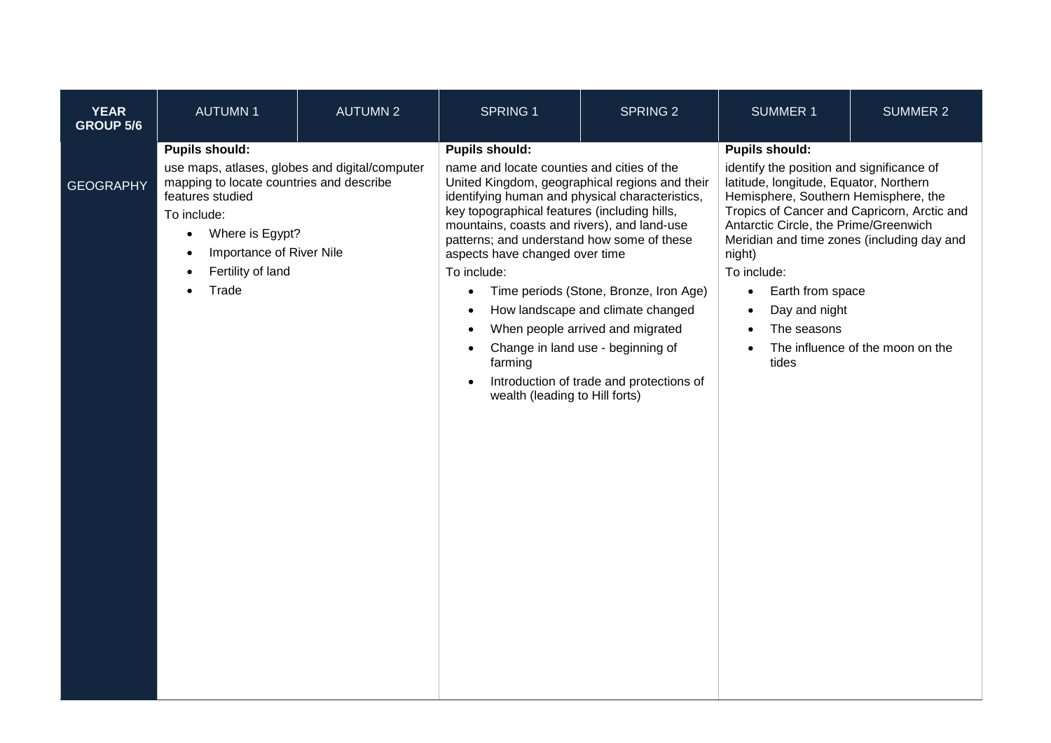| <b>YEAR</b><br><b>GROUP 5/6</b> | <b>AUTUMN1</b>                                                                                                                                                                                                                      | <b>AUTUMN 2</b> | <b>SPRING 1</b>                                                                                                                                                                                                                                                                                                                                                                                                                               | <b>SPRING 2</b>                                                                                                                                                                                  | <b>SUMMER 1</b>                                                                                                                                                                                                                                                                                                                                                                                                                      | <b>SUMMER 2</b>                  |
|---------------------------------|-------------------------------------------------------------------------------------------------------------------------------------------------------------------------------------------------------------------------------------|-----------------|-----------------------------------------------------------------------------------------------------------------------------------------------------------------------------------------------------------------------------------------------------------------------------------------------------------------------------------------------------------------------------------------------------------------------------------------------|--------------------------------------------------------------------------------------------------------------------------------------------------------------------------------------------------|--------------------------------------------------------------------------------------------------------------------------------------------------------------------------------------------------------------------------------------------------------------------------------------------------------------------------------------------------------------------------------------------------------------------------------------|----------------------------------|
| <b>GEOGRAPHY</b>                | <b>Pupils should:</b><br>use maps, atlases, globes and digital/computer<br>mapping to locate countries and describe<br>features studied<br>To include:<br>Where is Egypt?<br>Importance of River Nile<br>Fertility of land<br>Trade |                 | <b>Pupils should:</b><br>name and locate counties and cities of the<br>United Kingdom, geographical regions and their<br>identifying human and physical characteristics,<br>key topographical features (including hills,<br>mountains, coasts and rivers), and land-use<br>patterns; and understand how some of these<br>aspects have changed over time<br>To include:<br>$\bullet$<br>$\bullet$<br>farming<br>wealth (leading to Hill forts) | Time periods (Stone, Bronze, Iron Age)<br>How landscape and climate changed<br>When people arrived and migrated<br>Change in land use - beginning of<br>Introduction of trade and protections of | <b>Pupils should:</b><br>identify the position and significance of<br>latitude, longitude, Equator, Northern<br>Hemisphere, Southern Hemisphere, the<br>Tropics of Cancer and Capricorn, Arctic and<br>Antarctic Circle, the Prime/Greenwich<br>Meridian and time zones (including day and<br>night)<br>To include:<br>Earth from space<br>$\bullet$<br>Day and night<br>$\bullet$<br>The seasons<br>$\bullet$<br>$\bullet$<br>tides | The influence of the moon on the |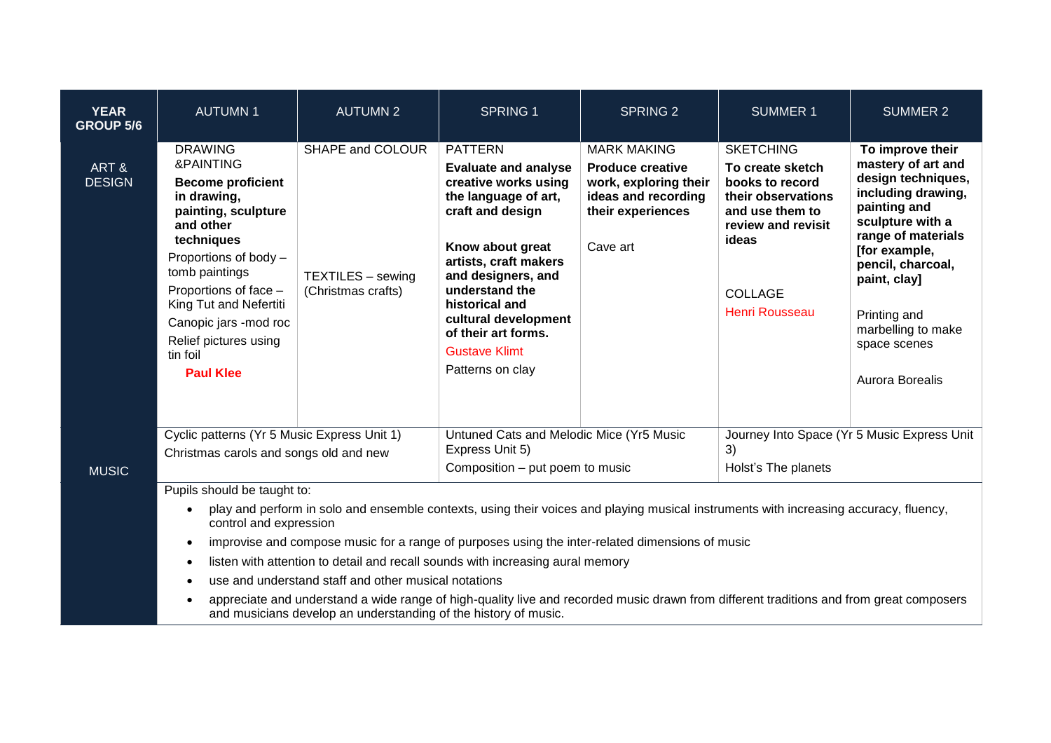| <b>YEAR</b><br><b>GROUP 5/6</b> | <b>AUTUMN1</b>                                                                                                                                                                                                                                                                                                                                                                                                                                                                                                                                                                                                                                                                      | <b>AUTUMN 2</b>                                             | <b>SPRING 1</b>                                                                                                                                                                                                                                                                                                     | <b>SPRING 2</b>                                                                                                                | <b>SUMMER 1</b>                                                                                                                                                            | <b>SUMMER 2</b>                                                                                                                                                                                                                                                             |  |
|---------------------------------|-------------------------------------------------------------------------------------------------------------------------------------------------------------------------------------------------------------------------------------------------------------------------------------------------------------------------------------------------------------------------------------------------------------------------------------------------------------------------------------------------------------------------------------------------------------------------------------------------------------------------------------------------------------------------------------|-------------------------------------------------------------|---------------------------------------------------------------------------------------------------------------------------------------------------------------------------------------------------------------------------------------------------------------------------------------------------------------------|--------------------------------------------------------------------------------------------------------------------------------|----------------------------------------------------------------------------------------------------------------------------------------------------------------------------|-----------------------------------------------------------------------------------------------------------------------------------------------------------------------------------------------------------------------------------------------------------------------------|--|
| ART&<br><b>DESIGN</b>           | <b>DRAWING</b><br>&PAINTING<br><b>Become proficient</b><br>in drawing,<br>painting, sculpture<br>and other<br>techniques<br>Proportions of body -<br>tomb paintings<br>Proportions of face -<br>King Tut and Nefertiti<br>Canopic jars - mod roc<br>Relief pictures using<br>tin foil<br><b>Paul Klee</b>                                                                                                                                                                                                                                                                                                                                                                           | SHAPE and COLOUR<br>TEXTILES - sewing<br>(Christmas crafts) | <b>PATTERN</b><br><b>Evaluate and analyse</b><br>creative works using<br>the language of art,<br>craft and design<br>Know about great<br>artists, craft makers<br>and designers, and<br>understand the<br>historical and<br>cultural development<br>of their art forms.<br><b>Gustave Klimt</b><br>Patterns on clay | <b>MARK MAKING</b><br><b>Produce creative</b><br>work, exploring their<br>ideas and recording<br>their experiences<br>Cave art | <b>SKETCHING</b><br>To create sketch<br>books to record<br>their observations<br>and use them to<br>review and revisit<br>ideas<br><b>COLLAGE</b><br><b>Henri Rousseau</b> | To improve their<br>mastery of art and<br>design techniques,<br>including drawing,<br>painting and<br>sculpture with a<br>range of materials<br>[for example,<br>pencil, charcoal,<br>paint, clay]<br>Printing and<br>marbelling to make<br>space scenes<br>Aurora Borealis |  |
| <b>MUSIC</b>                    | Cyclic patterns (Yr 5 Music Express Unit 1)<br>Christmas carols and songs old and new                                                                                                                                                                                                                                                                                                                                                                                                                                                                                                                                                                                               |                                                             | Untuned Cats and Melodic Mice (Yr5 Music<br>Express Unit 5)<br>Composition - put poem to music                                                                                                                                                                                                                      |                                                                                                                                | Journey Into Space (Yr 5 Music Express Unit<br>3)<br>Holst's The planets                                                                                                   |                                                                                                                                                                                                                                                                             |  |
|                                 | Pupils should be taught to:<br>play and perform in solo and ensemble contexts, using their voices and playing musical instruments with increasing accuracy, fluency,<br>$\bullet$<br>control and expression<br>improvise and compose music for a range of purposes using the inter-related dimensions of music<br>$\bullet$<br>listen with attention to detail and recall sounds with increasing aural memory<br>use and understand staff and other musical notations<br>appreciate and understand a wide range of high-quality live and recorded music drawn from different traditions and from great composers<br>and musicians develop an understanding of the history of music. |                                                             |                                                                                                                                                                                                                                                                                                                     |                                                                                                                                |                                                                                                                                                                            |                                                                                                                                                                                                                                                                             |  |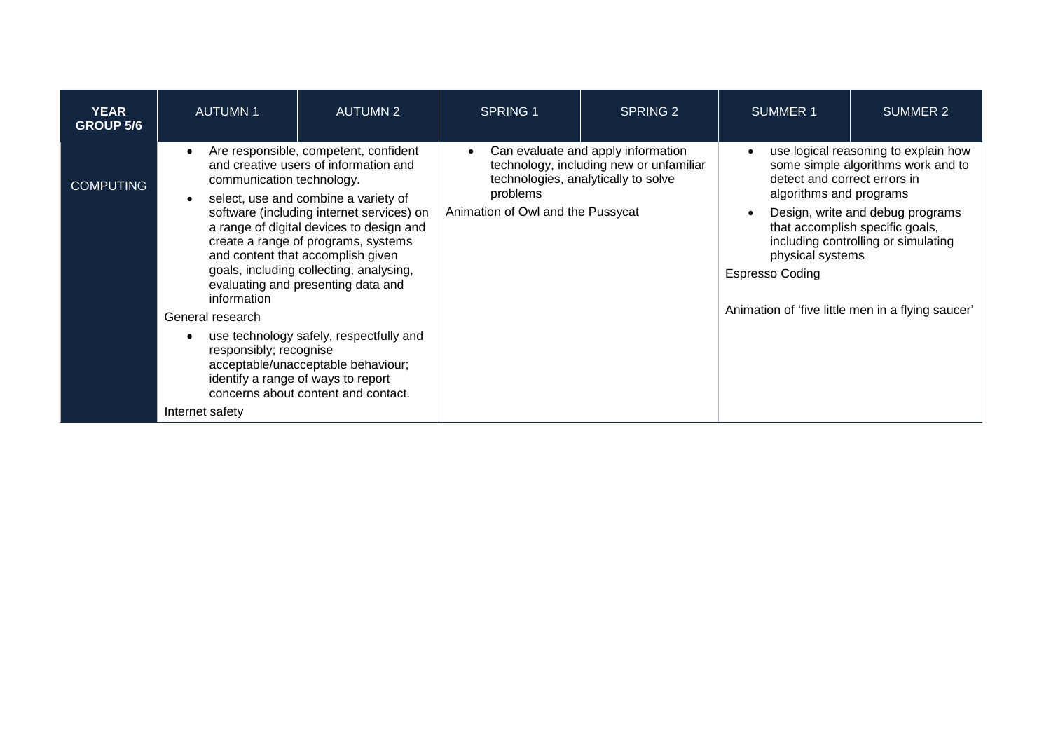| <b>YEAR</b><br><b>GROUP 5/6</b> | <b>AUTUMN1</b>                                                                                                                                                                                                                                                                                                                                                                                                           | <b>AUTUMN 2</b>                                                                                                                                            | <b>SPRING 1</b>                                                                                                                                                                    | SPRING 2 | <b>SUMMER 1</b>                                                                                                                                                                                                                                                                                                      | SUMMER 2                                          |
|---------------------------------|--------------------------------------------------------------------------------------------------------------------------------------------------------------------------------------------------------------------------------------------------------------------------------------------------------------------------------------------------------------------------------------------------------------------------|------------------------------------------------------------------------------------------------------------------------------------------------------------|------------------------------------------------------------------------------------------------------------------------------------------------------------------------------------|----------|----------------------------------------------------------------------------------------------------------------------------------------------------------------------------------------------------------------------------------------------------------------------------------------------------------------------|---------------------------------------------------|
| <b>COMPUTING</b>                | Are responsible, competent, confident<br>and creative users of information and<br>communication technology.<br>select, use and combine a variety of<br>software (including internet services) on<br>a range of digital devices to design and<br>create a range of programs, systems<br>and content that accomplish given<br>goals, including collecting, analysing,<br>evaluating and presenting data and<br>information |                                                                                                                                                            | Can evaluate and apply information<br>$\bullet$<br>technology, including new or unfamiliar<br>technologies, analytically to solve<br>problems<br>Animation of Owl and the Pussycat |          | use logical reasoning to explain how<br>$\bullet$<br>some simple algorithms work and to<br>detect and correct errors in<br>algorithms and programs<br>Design, write and debug programs<br>$\bullet$<br>that accomplish specific goals,<br>including controlling or simulating<br>physical systems<br>Espresso Coding |                                                   |
|                                 | General research                                                                                                                                                                                                                                                                                                                                                                                                         |                                                                                                                                                            |                                                                                                                                                                                    |          |                                                                                                                                                                                                                                                                                                                      | Animation of 'five little men in a flying saucer' |
|                                 | responsibly; recognise                                                                                                                                                                                                                                                                                                                                                                                                   | use technology safely, respectfully and<br>acceptable/unacceptable behaviour;<br>identify a range of ways to report<br>concerns about content and contact. |                                                                                                                                                                                    |          |                                                                                                                                                                                                                                                                                                                      |                                                   |
|                                 | Internet safety                                                                                                                                                                                                                                                                                                                                                                                                          |                                                                                                                                                            |                                                                                                                                                                                    |          |                                                                                                                                                                                                                                                                                                                      |                                                   |